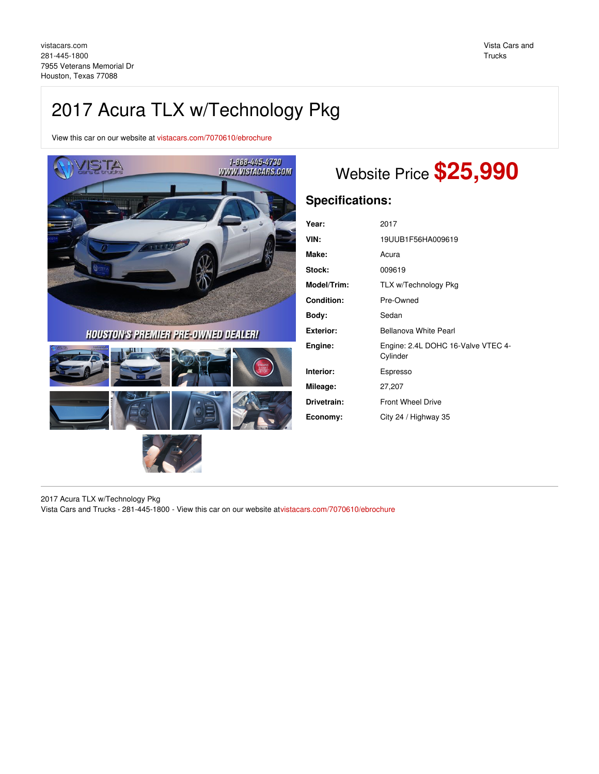# 2017 Acura TLX w/Technology Pkg

View this car on our website at [vistacars.com/7070610/ebrochure](https://vistacars.com/vehicle/7070610/2017-acura-tlx-w-technology-pkg-houston-texas-77088/7070610/ebrochure)







## Website Price **\$25,990**

## **Specifications:**

| Year:             | 2017                                           |
|-------------------|------------------------------------------------|
| VIN:              | 19UUB1F56HA009619                              |
| Make:             | Acura                                          |
| Stock:            | 009619                                         |
| Model/Trim:       | TLX w/Technology Pkg                           |
| <b>Condition:</b> | Pre-Owned                                      |
| Body:             | Sedan                                          |
| <b>Exterior:</b>  | Bellanova White Pearl                          |
| Engine:           | Engine: 2.4L DOHC 16-Valve VTEC 4-<br>Cylinder |
| Interior:         | Espresso                                       |
| Mileage:          | 27,207                                         |
| Drivetrain:       | <b>Front Wheel Drive</b>                       |
| Economy:          | City 24 / Highway 35                           |

2017 Acura TLX w/Technology Pkg Vista Cars and Trucks - 281-445-1800 - View this car on our website a[tvistacars.com/7070610/ebrochure](https://vistacars.com/vehicle/7070610/2017-acura-tlx-w-technology-pkg-houston-texas-77088/7070610/ebrochure)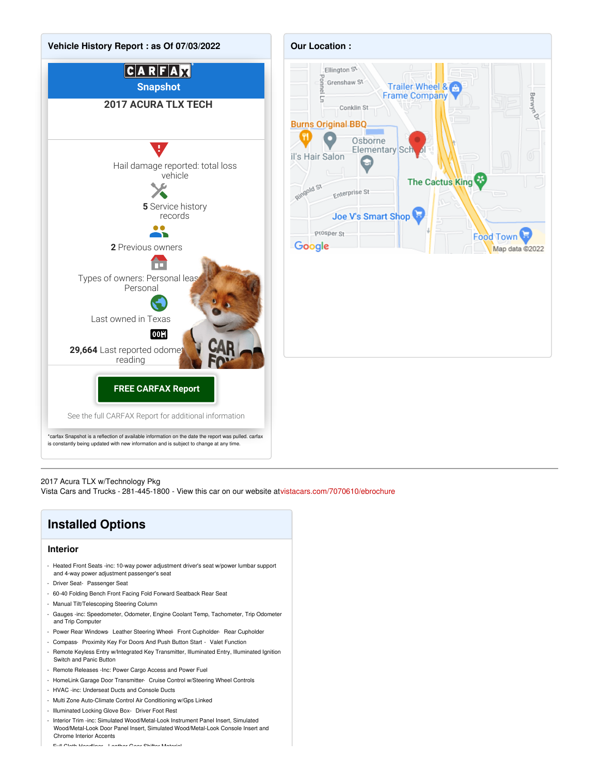

## 2017 Acura TLX w/Technology Pkg

Vista Cars and Trucks - 281-445-1800 - View this car on our website a[tvistacars.com/7070610/ebrochure](https://vistacars.com/vehicle/7070610/2017-acura-tlx-w-technology-pkg-houston-texas-77088/7070610/ebrochure)

## **Installed Options**

### **Interior**

- Heated Front Seats -inc: 10-way power adjustment driver's seat w/power lumbar support and 4-way power adjustment passenger's seat
- Driver Seat- Passenger Seat
- 60-40 Folding Bench Front Facing Fold Forward Seatback Rear Seat
- Manual Tilt/Telescoping Steering Column
- Gauges -inc: Speedometer, Odometer, Engine Coolant Temp, Tachometer, Trip Odometer and Trip Computer
- Power Rear Windows- Leather Steering Wheel- Front Cupholder- Rear Cupholder
- Compass- Proximity Key For Doors And Push Button Start Valet Function
- Remote Keyless Entry w/Integrated Key Transmitter, Illuminated Entry, Illuminated Ignition Switch and Panic Button
- Remote Releases -Inc: Power Cargo Access and Power Fuel
- HomeLink Garage Door Transmitter- Cruise Control w/Steering Wheel Controls
- HVAC -inc: Underseat Ducts and Console Ducts
- Multi Zone Auto-Climate Control Air Conditioning w/Gps Linked
- Illuminated Locking Glove Box- Driver Foot Rest
- Interior Trim -inc: Simulated Wood/Metal-Look Instrument Panel Insert, Simulated Wood/Metal-Look Door Panel Insert, Simulated Wood/Metal-Look Console Insert and Chrome Interior Accents

- Full Cloth Headliner- Leather Gear Shifter Material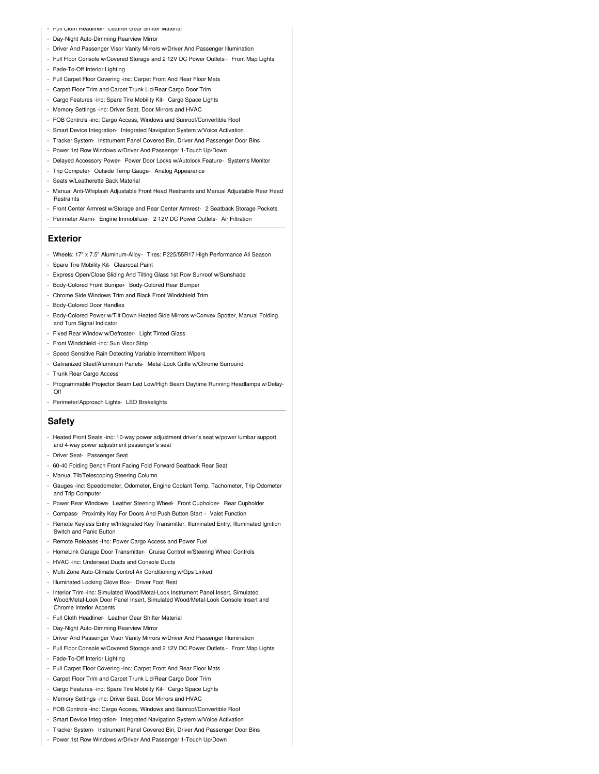- Full Cloth Headliner- Leather Gear Shifter Material
- Day-Night Auto-Dimming Rearview Mirror
- Driver And Passenger Visor Vanity Mirrors w/Driver And Passenger Illumination
- Full Floor Console w/Covered Storage and 2 12V DC Power Outlets Front Map Lights
- Fade-To-Off Interior Lighting
- Full Carpet Floor Covering -inc: Carpet Front And Rear Floor Mats
- Carpet Floor Trim and Carpet Trunk Lid/Rear Cargo Door Trim
- Cargo Features -inc: Spare Tire Mobility Kit- Cargo Space Lights
- Memory Settings -inc: Driver Seat, Door Mirrors and HVAC
- FOB Controls -inc: Cargo Access, Windows and Sunroof/Convertible Roof
- Smart Device Integration- Integrated Navigation System w/Voice Activation
- Tracker System- Instrument Panel Covered Bin, Driver And Passenger Door Bins
- Power 1st Row Windows w/Driver And Passenger 1-Touch Up/Down
- Delayed Accessory Power- Power Door Locks w/Autolock Feature- Systems Monitor
- Trip Computer- Outside Temp Gauge- Analog Appearance
- Seats w/Leatherette Back Material
- Manual Anti-Whiplash Adjustable Front Head Restraints and Manual Adjustable Rear Head Restraints
- Front Center Armrest w/Storage and Rear Center Armrest- 2 Seatback Storage Pockets
- Perimeter Alarm- Engine Immobilizer- 2 12V DC Power Outlets- Air Filtration

### **Exterior**

- Wheels: 17" x 7.5" Aluminum-Alloy- Tires: P225/55R17 High Performance All Season
- Spare Tire Mobility Kit- Clearcoat Paint
- Express Open/Close Sliding And Tilting Glass 1st Row Sunroof w/Sunshade
- Body-Colored Front Bumper- Body-Colored Rear Bumper
- Chrome Side Windows Trim and Black Front Windshield Trim
- Body-Colored Door Handles
- Body-Colored Power w/Tilt Down Heated Side Mirrors w/Convex Spotter, Manual Folding and Turn Signal Indicator
- Fixed Rear Window w/Defroster- Light Tinted Glass
- Front Windshield -inc: Sun Visor Strip
- Speed Sensitive Rain Detecting Variable Intermittent Wipers
- Galvanized Steel/Aluminum Panels- Metal-Look Grille w/Chrome Surround
- Trunk Rear Cargo Access
- Programmable Projector Beam Led Low/High Beam Daytime Running Headlamps w/Delay-Off
- Perimeter/Approach Lights- LED Brakelights

## **Safety**

- Heated Front Seats -inc: 10-way power adjustment driver's seat w/power lumbar support and 4-way power adjustment passenger's seat
- Driver Seat- Passenger Seat
- 60-40 Folding Bench Front Facing Fold Forward Seatback Rear Seat
- Manual Tilt/Telescoping Steering Column
- Gauges -inc: Speedometer, Odometer, Engine Coolant Temp, Tachometer, Trip Odometer and Trip Computer
- Power Rear Windows-Leather Steering Wheel- Front Cupholder- Rear Cupholder
- Compass- Proximity Key For Doors And Push Button Start Valet Function - Remote Keyless Entry w/Integrated Key Transmitter, Illuminated Entry, Illuminated Ignition Switch and Panic Button
- Remote Releases -Inc: Power Cargo Access and Power Fuel
- HomeLink Garage Door Transmitter- Cruise Control w/Steering Wheel Controls
- HVAC -inc: Underseat Ducts and Console Ducts
- Multi Zone Auto-Climate Control Air Conditioning w/Gps Linked
- Illuminated Locking Glove Box- Driver Foot Rest
- Interior Trim -inc: Simulated Wood/Metal-Look Instrument Panel Insert, Simulated Wood/Metal-Look Door Panel Insert, Simulated Wood/Metal-Look Console Insert and Chrome Interior Accents
- Full Cloth Headliner- Leather Gear Shifter Material
- Day-Night Auto-Dimming Rearview Mirror
- Driver And Passenger Visor Vanity Mirrors w/Driver And Passenger Illumination
- Full Floor Console w/Covered Storage and 2 12V DC Power Outlets Front Map Lights
- Fade-To-Off Interior Lighting
- Full Carpet Floor Covering -inc: Carpet Front And Rear Floor Mats
- Carpet Floor Trim and Carpet Trunk Lid/Rear Cargo Door Trim
- Cargo Features -inc: Spare Tire Mobility Kit- Cargo Space Lights
- Memory Settings -inc: Driver Seat, Door Mirrors and HVAC
- FOB Controls -inc: Cargo Access, Windows and Sunroof/Convertible Roof
- Smart Device Integration- Integrated Navigation System w/Voice Activation
- Tracker System- Instrument Panel Covered Bin, Driver And Passenger Door Bins
- Power 1st Row Windows w/Driver And Passenger 1-Touch Up/Down